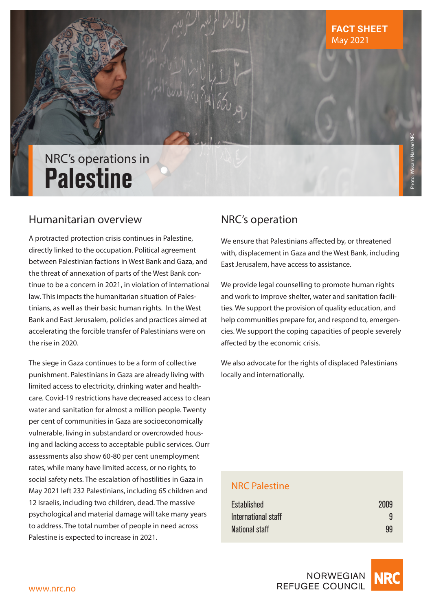# NRC's operations in **Palestine**

# Humanitarian overview

A protracted protection crisis continues in Palestine, directly linked to the occupation. Political agreement between Palestinian factions in West Bank and Gaza, and the threat of annexation of parts of the West Bank continue to be a concern in 2021, in violation of international law. This impacts the humanitarian situation of Palestinians, as well as their basic human rights. In the West Bank and East Jerusalem, policies and practices aimed at accelerating the forcible transfer of Palestinians were on the rise in 2020.

The siege in Gaza continues to be a form of collective punishment. Palestinians in Gaza are already living with limited access to electricity, drinking water and healthcare. Covid-19 restrictions have decreased access to clean water and sanitation for almost a million people. Twenty per cent of communities in Gaza are socioeconomically vulnerable, living in substandard or overcrowded housing and lacking access to acceptable public services. Ourr assessments also show 60-80 per cent unemployment rates, while many have limited access, or no rights, to social safety nets. The escalation of hostilities in Gaza in May 2021 left 232 Palestinians, including 65 children and 12 Israelis, including two children, dead. The massive psychological and material damage will take many years to address. The total number of people in need across Palestine is expected to increase in 2021.

# NRC's operation

 $ab_{\mu}$ 

We ensure that Palestinians affected by, or threatened with, displacement in Gaza and the West Bank, including East Jerusalem, have access to assistance.

We provide legal counselling to promote human rights and work to improve shelter, water and sanitation facilities. We support the provision of quality education, and help communities prepare for, and respond to, emergencies. We support the coping capacities of people severely affected by the economic crisis.

We also advocate for the rights of displaced Palestinians locally and internationally.

### NRC Palestine

| <b>Established</b>  | 2009 |
|---------------------|------|
| International staff | 9    |
| National staff      | 99   |



Photo: Wissam Nassar/NRC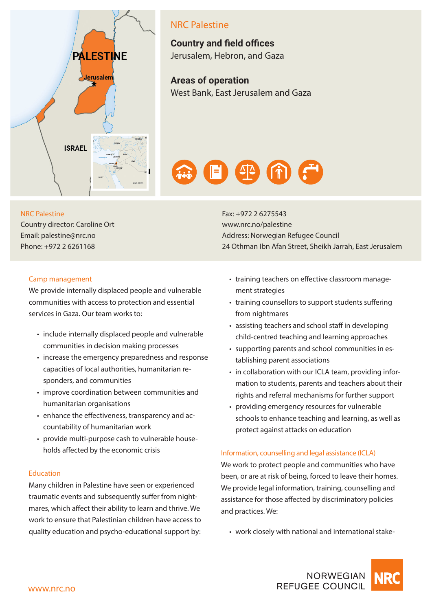

## NRC Palestine

**Country and field offices**  Jerusalem, Hebron, and Gaza

**Areas of operation**  West Bank, East Jerusalem and Gaza



#### NRC Palestine

Country director: Caroline Ort Email: palestine@nrc.no Phone: +972 2 6261168

Fax: +972 2 6275543 www.nrc.no/palestine Address: Norwegian Refugee Council 24 Othman Ibn Afan Street, Sheikh Jarrah, East Jerusalem

#### Camp management

We provide internally displaced people and vulnerable communities with access to protection and essential services in Gaza. Our team works to:

- include internally displaced people and vulnerable communities in decision making processes
- increase the emergency preparedness and response capacities of local authorities, humanitarian responders, and communities
- improve coordination between communities and humanitarian organisations
- enhance the effectiveness, transparency and accountability of humanitarian work
- provide multi-purpose cash to vulnerable households affected by the economic crisis

#### Education

Many children in Palestine have seen or experienced traumatic events and subsequently suffer from nightmares, which affect their ability to learn and thrive. We work to ensure that Palestinian children have access to quality education and psycho-educational support by:

- training teachers on effective classroom management strategies
- training counsellors to support students suffering from nightmares
- assisting teachers and school staff in developing child-centred teaching and learning approaches
- supporting parents and school communities in establishing parent associations
- in collaboration with our ICLA team, providing information to students, parents and teachers about their rights and referral mechanisms for further support
- providing emergency resources for vulnerable schools to enhance teaching and learning, as well as protect against attacks on education

#### Information, counselling and legal assistance (ICLA)

We work to protect people and communities who have been, or are at risk of being, forced to leave their homes. We provide legal information, training, counselling and assistance for those affected by discriminatory policies and practices. We:

• work closely with national and international stake-